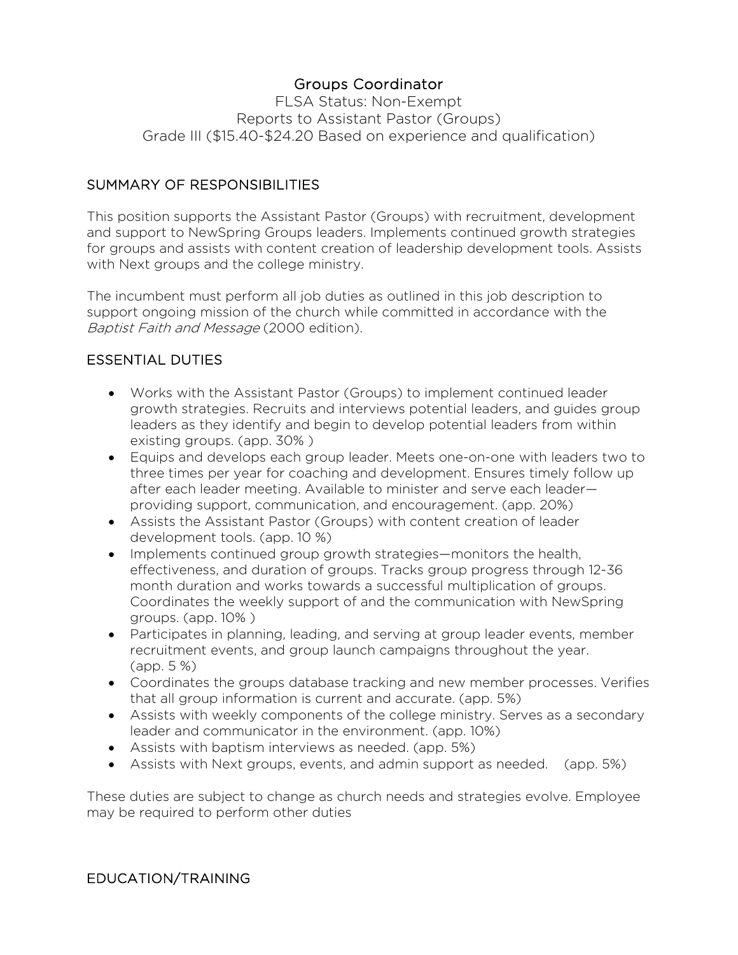# Groups Coordinator

FLSA Status: Non-Exempt Reports to Assistant Pastor (Groups) Grade III (\$15.40-\$24.20 Based on experience and qualification)

## SUMMARY OF RESPONSIBILITIES

This position supports the Assistant Pastor (Groups) with recruitment, development and support to NewSpring Groups leaders. Implements continued growth strategies for groups and assists with content creation of leadership development tools. Assists with Next groups and the college ministry.

The incumbent must perform all job duties as outlined in this job description to support ongoing mission of the church while committed in accordance with the Baptist Faith and Message (2000 edition).

# ESSENTIAL DUTIES

- Works with the Assistant Pastor (Groups) to implement continued leader growth strategies. Recruits and interviews potential leaders, and guides group leaders as they identify and begin to develop potential leaders from within existing groups. (app. 30% )
- Equips and develops each group leader. Meets one-on-one with leaders two to three times per year for coaching and development. Ensures timely follow up after each leader meeting. Available to minister and serve each leader providing support, communication, and encouragement. (app. 20%)
- Assists the Assistant Pastor (Groups) with content creation of leader development tools. (app. 10 %)
- Implements continued group growth strategies—monitors the health, effectiveness, and duration of groups. Tracks group progress through 12-36 month duration and works towards a successful multiplication of groups. Coordinates the weekly support of and the communication with NewSpring groups. (app. 10% )
- Participates in planning, leading, and serving at group leader events, member recruitment events, and group launch campaigns throughout the year. (app. 5 %)
- Coordinates the groups database tracking and new member processes. Verifies that all group information is current and accurate. (app. 5%)
- Assists with weekly components of the college ministry. Serves as a secondary leader and communicator in the environment. (app. 10%)
- Assists with baptism interviews as needed. (app. 5%)
- Assists with Next groups, events, and admin support as needed. (app. 5%)

These duties are subject to change as church needs and strategies evolve. Employee may be required to perform other duties

### EDUCATION/TRAINING